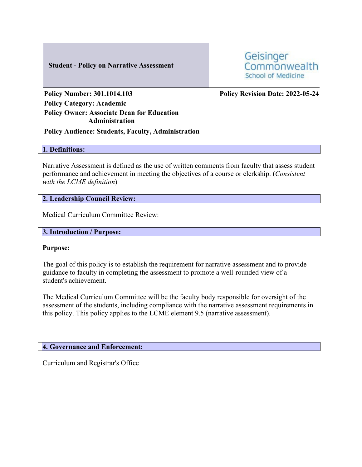#### **Student - Policy on Narrative Assessment**



**Policy Number: 301.1014.103 Policy Revision Date: 2022-05-24**

**Policy Category: Academic Policy Owner: Associate Dean for Education Administration**

**Policy Audience: Students, Faculty, Administration**

### **1. Definitions:**

Narrative Assessment is defined as the use of written comments from faculty that assess student performance and achievement in meeting the objectives of a course or clerkship. (*Consistent with the LCME definition*)

### **2. Leadership Council Review:**

Medical Curriculum Committee Review:

#### **3. Introduction / Purpose:**

#### **Purpose:**

The goal of this policy is to establish the requirement for narrative assessment and to provide guidance to faculty in completing the assessment to promote a well-rounded view of a student's achievement.

The Medical Curriculum Committee will be the faculty body responsible for oversight of the assessment of the students, including compliance with the narrative assessment requirements in this policy. This policy applies to the LCME element 9.5 (narrative assessment).

### **4. Governance and Enforcement:**

Curriculum and Registrar's Office